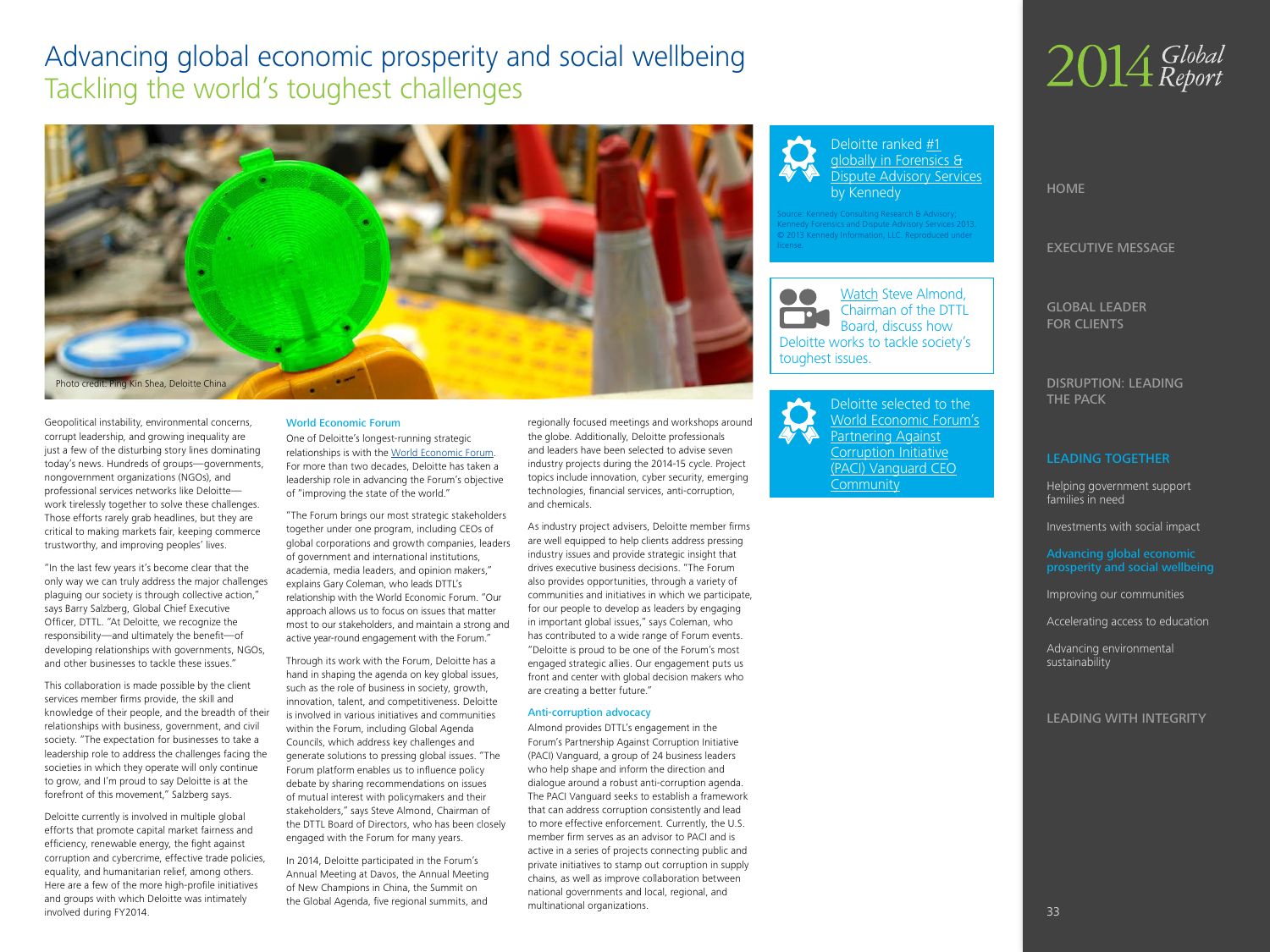## <span id="page-0-0"></span>Advancing global economic prosperity and social wellbeing Tackling the world's toughest challenges



Geopolitical instability, environmental concerns, corrupt leadership, and growing inequality are just a few of the disturbing story lines dominating today's news. Hundreds of groups—governments, nongovernment organizations (NGOs), and professional services networks like Deloitte work tirelessly together to solve these challenges. Those efforts rarely grab headlines, but they are critical to making markets fair, keeping commerce trustworthy, and improving peoples' lives.

"In the last few years it's become clear that the only way we can truly address the major challenges plaguing our society is through collective action," says Barry Salzberg, Global Chief Executive Officer, DTTL. "At Deloitte, we recognize the responsibility—and ultimately the benefit—of developing relationships with governments, NGOs, and other businesses to tackle these issues."

This collaboration is made possible by the client services member firms provide, the skill and knowledge of their people, and the breadth of their relationships with business, government, and civil society. "The expectation for businesses to take a leadership role to address the challenges facing the societies in which they operate will only continue to grow, and I'm proud to say Deloitte is at the forefront of this movement," Salzberg says.

Deloitte currently is involved in multiple global efforts that promote capital market fairness and efficiency, renewable energy, the fight against corruption and cybercrime, effective trade policies, equality, and humanitarian relief, among others. Here are a few of the more high-profile initiatives and groups with which Deloitte was intimately involved during FY2014.

#### World Economic Forum

One of Deloitte's longest-running strategic relationships is with the [World Economic Forum.](http://www2.deloitte.com/global/en/pages/about-deloitte/articles/worldeconomicforum.html) For more than two decades, Deloitte has taken a leadership role in advancing the Forum's objective of "improving the state of the world."

"The Forum brings our most strategic stakeholders together under one program, including CEOs of global corporations and growth companies, leaders of government and international institutions, academia, media leaders, and opinion makers," explains Gary Coleman, who leads DTTL's relationship with the World Economic Forum. "Our approach allows us to focus on issues that matter most to our stakeholders, and maintain a strong and active year-round engagement with the Forum."

Through its work with the Forum, Deloitte has a hand in shaping the agenda on key global issues, such as the role of business in society, growth, innovation, talent, and competitiveness. Deloitte is involved in various initiatives and communities within the Forum, including Global Agenda Councils, which address key challenges and generate solutions to pressing global issues. "The Forum platform enables us to influence policy debate by sharing recommendations on issues of mutual interest with policymakers and their stakeholders," says Steve Almond, Chairman of the DTTL Board of Directors, who has been closely engaged with the Forum for many years.

In 2014, Deloitte participated in the Forum's Annual Meeting at Davos, the Annual Meeting of New Champions in China, the Summit on the Global Agenda, five regional summits, and

regionally focused meetings and workshops around the globe. Additionally, Deloitte professionals and leaders have been selected to advise seven industry projects during the 2014-15 cycle. Project topics include innovation, cyber security, emerging technologies, financial services, anti-corruption, and chemicals.

As industry project advisers, Deloitte member firms are well equipped to help clients address pressing industry issues and provide strategic insight that drives executive business decisions. "The Forum also provides opportunities, through a variety of communities and initiatives in which we participate, for our people to develop as leaders by engaging in important global issues," says Coleman, who has contributed to a wide range of Forum events. "Deloitte is proud to be one of the Forum's most engaged strategic allies. Our engagement puts us front and center with global decision makers who are creating a better future."

#### Anti-corruption advocacy

Almond provides DTTL's engagement in the Forum's Partnership Against Corruption Initiative [\(PACI\) Vanguard](http://www2.deloitte.com/global/en/pages/about-deloitte/articles/deloitte-selected-to-wef-paci-vanguard-ceo-community.html), a group of 24 business leaders who help shape and inform the direction and dialogue around a robust anti-corruption agenda. The PACI Vanguard seeks to establish a framework that can address corruption consistently and lead to more effective enforcement. Currently, the U.S. member firm serves as an advisor to PACI and is active in a series of projects connecting public and private initiatives to stamp out corruption in supply chains, as well as improve collaboration between national governments and local, regional, and multinational organizations.



Deloitte ranked **[#1](http://www2.deloitte.com/global/en/pages/about-deloitte/articles/ranked-1-by-kennedy-in-global-forensics.html)** [globally in Forensics &](http://www2.deloitte.com/global/en/pages/about-deloitte/articles/ranked-1-by-kennedy-in-global-forensics.html) [Dispute Advisory Services](http://www2.deloitte.com/global/en/pages/about-deloitte/articles/ranked-1-by-kennedy-in-global-forensics.html) by Kennedy

Iy Consulting Research & Adv Kennedy Forensics and Dispute Advisory Services 2013. © 2013 Kennedy Information, LLC. Reproduced under license.



[Deloitte selected to the](http://www2.deloitte.com/global/en/pages/about-deloitte/articles/deloitte-selected-to-wef-paci-vanguard-ceo-community.html) [World Economic Forum's](http://www2.deloitte.com/global/en/pages/about-deloitte/articles/deloitte-selected-to-wef-paci-vanguard-ceo-community.html) [Partnering Against](http://www2.deloitte.com/global/en/pages/about-deloitte/articles/deloitte-selected-to-wef-paci-vanguard-ceo-community.html) [Corruption Initiative](http://www2.deloitte.com/global/en/pages/about-deloitte/articles/deloitte-selected-to-wef-paci-vanguard-ceo-community.html) [\(PACI\) Vanguard CEO](http://www2.deloitte.com/global/en/pages/about-deloitte/articles/deloitte-selected-to-wef-paci-vanguard-ceo-community.html) **[Community](http://www2.deloitte.com/global/en/pages/about-deloitte/articles/deloitte-selected-to-wef-paci-vanguard-ceo-community.html)** 



HOME

EXECUTIVE MESSAGE

GLOBAL LEADER FOR CLIENTS

DISRUPTION: LEADING THE PACK

#### LEADING TOGETHER

Helping government support families in need

Investments with social impact

Advancing global economic prosperity and social wellbeing

Improving our communities

Accelerating access to education

Advancing environmental sustainability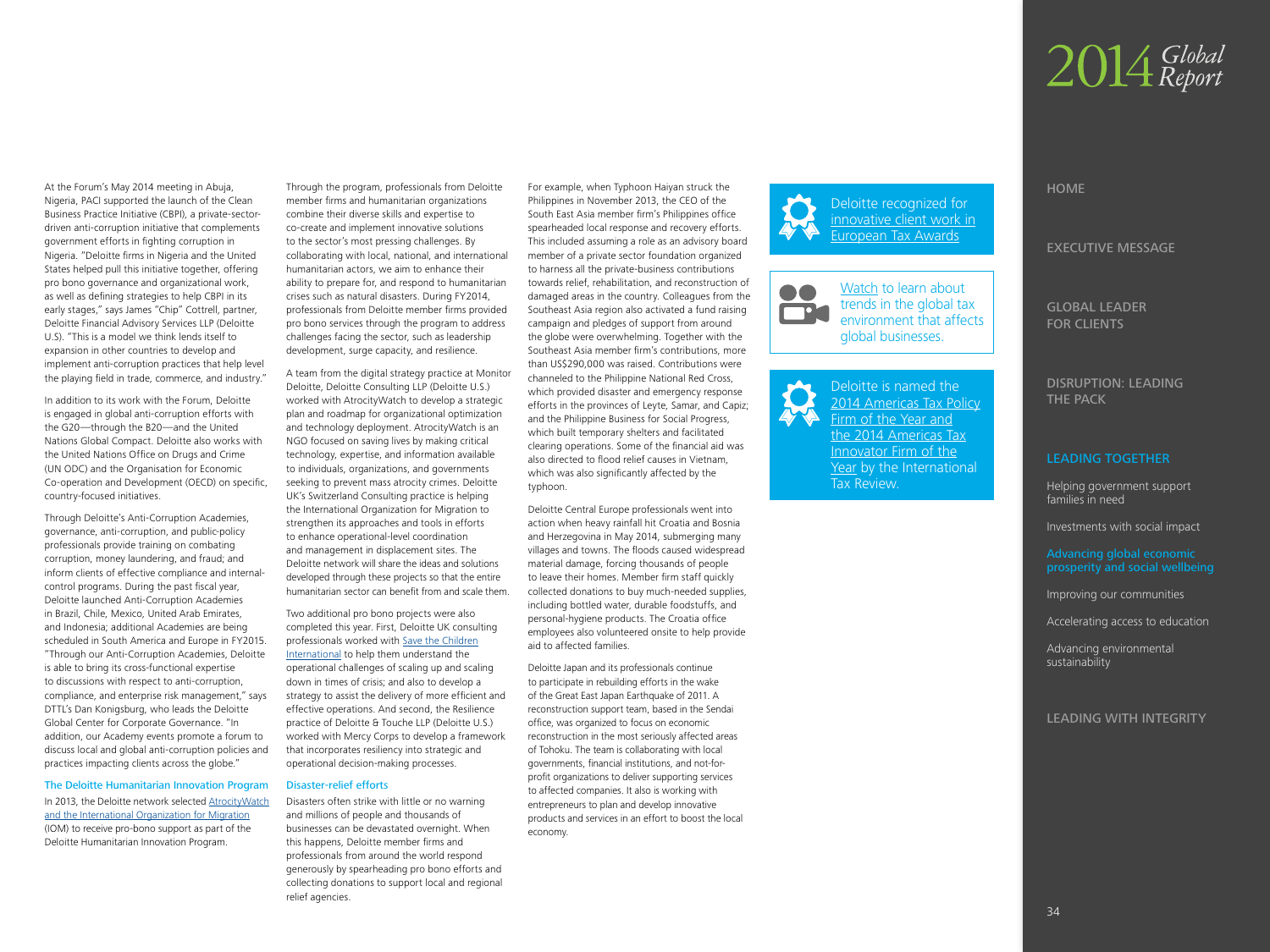# 2014 Global

At the Forum's May 2014 meeting in Abuja, Nigeria, PACI supported the launch of the Clean Business Practice Initiative (CBPI), a private-sectordriven anti-corruption initiative that complements government efforts in fighting corruption in Nigeria. "Deloitte firms in Nigeria and the United States helped pull this initiative together, offering pro bono governance and organizational work, as well as defining strategies to help CBPI in its early stages," says James "Chip" Cottrell, partner, Deloitte Financial Advisory Services LLP (Deloitte U.S). "This is a model we think lends itself to expansion in other countries to develop and implement anti-corruption practices that help level the playing field in trade, commerce, and industry."

In addition to its work with the Forum, Deloitte is engaged in global anti-corruption efforts with the G20—through the B20—and the United Nations Global Compact. Deloitte also works with the United Nations Office on Drugs and Crime (UN ODC) and the Organisation for Economic Co-operation and Development (OECD) on specific, country-focused initiatives.

Through Deloitte's Anti-Corruption Academies, governance, anti-corruption, and public-policy professionals provide training on combating corruption, money laundering, and fraud; and inform clients of effective compliance and internalcontrol programs. During the past fiscal year, Deloitte launched Anti-Corruption Academies in Brazil, Chile, Mexico, United Arab Emirates, and Indonesia; additional Academies are being scheduled in South America and Europe in FY2015. "Through our Anti-Corruption Academies, Deloitte is able to bring its cross-functional expertise to discussions with respect to anti-corruption, compliance, and enterprise risk management," says DTTL's Dan Konigsburg, who leads the Deloitte Global Center for Corporate Governance. "In addition, our Academy events promote a forum to discuss local and global anti-corruption policies and practices impacting clients across the globe."

The Deloitte Humanitarian Innovation Program In 2013, the Deloitte network selected [AtrocityWatch](http://www2.deloitte.com/global/en/pages/about-deloitte/articles/humanitarian-innovation-program-pr.html) [and the International Organization for Migration](http://www2.deloitte.com/global/en/pages/about-deloitte/articles/humanitarian-innovation-program-pr.html) (IOM) to receive pro-bono support as part of the Deloitte Humanitarian Innovation Program.

Through the program, professionals from Deloitte member firms and humanitarian organizations combine their diverse skills and expertise to co-create and implement innovative solutions to the sector's most pressing challenges. By collaborating with local, national, and international humanitarian actors, we aim to enhance their ability to prepare for, and respond to humanitarian crises such as natural disasters. During FY2014, professionals from Deloitte member firms provided pro bono services through the program to address challenges facing the sector, such as leadership development, surge capacity, and resilience.

A team from the digital strategy practice at Monitor Deloitte, Deloitte Consulting LLP (Deloitte U.S.) worked with AtrocityWatch to develop a strategic plan and roadmap for organizational optimization and technology deployment. AtrocityWatch is an NGO focused on saving lives by making critical technology, expertise, and information available to individuals, organizations, and governments seeking to prevent mass atrocity crimes. Deloitte UK's Switzerland Consulting practice is helping the International Organization for Migration to strengthen its approaches and tools in efforts to enhance operational-level coordination and management in displacement sites. The Deloitte network will share the ideas and solutions developed through these projects so that the entire humanitarian sector can benefit from and scale them.

Two additional pro bono projects were also completed this year. First, Deloitte UK consulting professionals worked with [Save the Children](http://www2.deloitte.com/global/en/pages/about-deloitte/articles/humanitarian-innovationprogramdeloittecasestudiesscalinghumanita.html) [International](http://www2.deloitte.com/global/en/pages/about-deloitte/articles/humanitarian-innovationprogramdeloittecasestudiesscalinghumanita.html) to help them understand the operational challenges of scaling up and scaling down in times of crisis; and also to develop a strategy to assist the delivery of more efficient and effective operations. And second, the Resilience practice of Deloitte & Touche LLP (Deloitte U.S.) worked with Mercy Corps to develop a framework that incorporates resiliency into strategic and operational decision-making processes.

#### Disaster-relief efforts

Disasters often strike with little or no warning and millions of people and thousands of businesses can be devastated overnight. When this happens, Deloitte member firms and professionals from around the world respond generously by spearheading pro bono efforts and collecting donations to support local and regional relief agencies.

For example, when Typhoon Haiyan struck the Philippines in November 2013, the CEO of the South East Asia member firm's Philippines office spearheaded local response and recovery efforts. This included assuming a role as an advisory board member of a private sector foundation organized to harness all the private-business contributions towards relief, rehabilitation, and reconstruction of damaged areas in the country. Colleagues from the Southeast Asia region also activated a fund raising campaign and pledges of support from around the globe were overwhelming. Together with the Southeast Asia member firm's contributions, more than US\$290,000 was raised. Contributions were channeled to the Philippine National Red Cross, which provided disaster and emergency response efforts in the provinces of Leyte, Samar, and Capiz; and the Philippine Business for Social Progress, which built temporary shelters and facilitated clearing operations. Some of the financial aid was also directed to flood relief causes in Vietnam, which was also significantly affected by the typhoon.

Deloitte Central Europe professionals went into action when heavy rainfall hit Croatia and Bosnia and Herzegovina in May 2014, submerging many villages and towns. The floods caused widespread material damage, forcing thousands of people to leave their homes. Member firm staff quickly collected donations to buy much-needed supplies, including bottled water, durable foodstuffs, and personal-hygiene products. The Croatia office employees also volunteered onsite to help provide aid to affected families.

Deloitte Japan and its professionals continue to participate in rebuilding efforts in the wake of the Great East Japan Earthquake of 2011. A reconstruction support team, based in the Sendai office, was organized to focus on economic reconstruction in the most seriously affected areas of Tohoku. The team is collaborating with local governments, financial institutions, and not-forprofit organizations to deliver supporting services to affected companies. It also is working with entrepreneurs to plan and develop innovative products and services in an effort to boost the local economy.





[Deloitte is named the](http://www2.deloitte.com/global/en/pages/about-deloitte/articles/Deloitte-top-awards-internatl-tax-review-america-tax-awards.html)  [2014 Americas Tax Policy](http://www2.deloitte.com/global/en/pages/about-deloitte/articles/Deloitte-top-awards-internatl-tax-review-america-tax-awards.html) [Firm of the Year and](http://www2.deloitte.com/global/en/pages/about-deloitte/articles/Deloitte-top-awards-internatl-tax-review-america-tax-awards.html) [the 2014 Americas Tax](http://www2.deloitte.com/global/en/pages/about-deloitte/articles/Deloitte-top-awards-internatl-tax-review-america-tax-awards.html) [Innovator Firm of the](http://www2.deloitte.com/global/en/pages/about-deloitte/articles/Deloitte-top-awards-internatl-tax-review-america-tax-awards.html) Year by the International [Tax Review.](http://www2.deloitte.com/global/en/pages/about-deloitte/articles/Deloitte-top-awards-internatl-tax-review-america-tax-awards.html)

### HOME

EXECUTIVE MESSAGE

GLOBAL LEADER FOR CLIENTS

DISRUPTION: LEADING THE PACK

#### LEADING TOGETHER

Helping government support families in need

Investments with social impact

[Advancing global economic](#page-0-0)  [prosperity and social wellbeing](#page-0-0)

Improving our communities

Accelerating access to education

Advancing environmental sustainability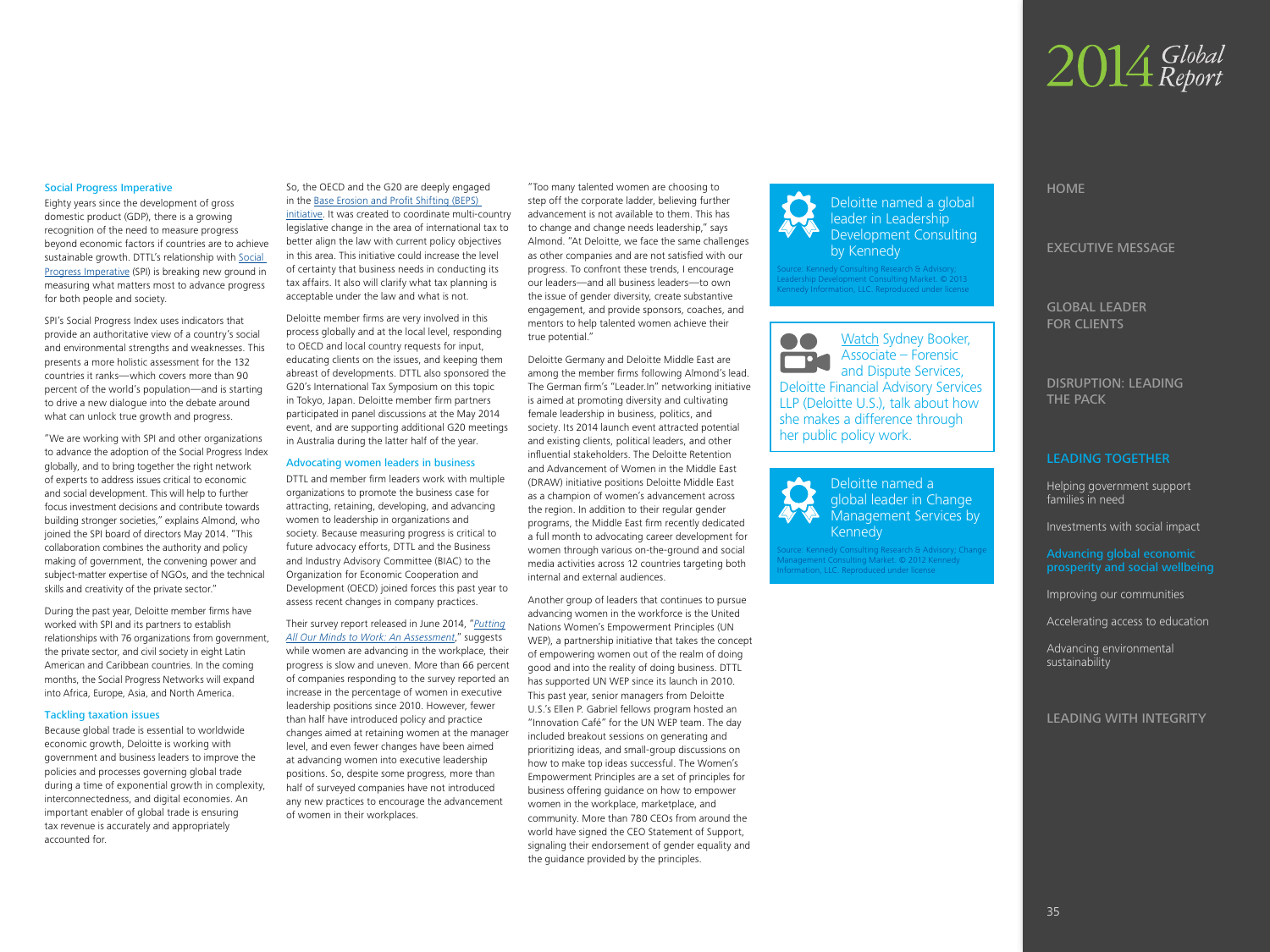# 2014 Global

#### Social Progress Imperative

Eighty years since the development of gross domestic product (GDP), there is a growing recognition of the need to measure progress beyond economic factors if countries are to achieve sustainable growth. DTTL's relationship with [Social](http://www2.deloitte.com/global/en/pages/about-deloitte/articles/social-progress-imperative-index.html?id=gx:2sm:3tw:spi:04032014:e)  [Progress Imperative](http://www2.deloitte.com/global/en/pages/about-deloitte/articles/social-progress-imperative-index.html?id=gx:2sm:3tw:spi:04032014:e) (SPI) is breaking new ground in measuring what matters most to advance progress for both people and society.

SPI's Social Progress Index uses indicators that provide an authoritative view of a country's social and environmental strengths and weaknesses. This presents a more holistic assessment for the 132 countries it ranks—which covers more than 90 percent of the world's population—and is starting to drive a new dialogue into the debate around what can unlock true growth and progress.

"We are working with SPI and other organizations to advance the adoption of the Social Progress Index globally, and to bring together the right network of experts to address issues critical to economic and social development. This will help to further focus investment decisions and contribute towards building stronger societies," explains Almond, who joined the SPI board of directors May 2014. "This collaboration combines the authority and policy making of government, the convening power and subject-matter expertise of NGOs, and the technical skills and creativity of the private sector."

During the past year, Deloitte member firms have worked with SPI and its partners to establish relationships with 76 organizations from government, the private sector, and civil society in eight Latin American and Caribbean countries. In the coming months, the Social Progress Networks will expand into Africa, Europe, Asia, and North America.

#### Tackling taxation issues

Because global trade is essential to worldwide economic growth, Deloitte is working with government and business leaders to improve the policies and processes governing global trade during a time of exponential growth in complexity, interconnectedness, and digital economies. An important enabler of global trade is ensuring tax revenue is accurately and appropriately accounted for.

#### So, the OECD and the G20 are deeply engaged in the [Base Erosion and Profit Shifting \(BEPS\)](http://www2.deloitte.com/global/en/pages/tax/articles/base-erosion-and-profit-shifting-beps.html)

[initiative.](http://www2.deloitte.com/global/en/pages/tax/articles/base-erosion-and-profit-shifting-beps.html) It was created to coordinate multi-country legislative change in the area of international tax to better align the law with current policy objectives in this area. This initiative could increase the level of certainty that business needs in conducting its tax affairs. It also will clarify what tax planning is acceptable under the law and what is not.

Deloitte member firms are very involved in this process globally and at the local level, responding to OECD and local country requests for input, educating clients on the issues, and keeping them abreast of developments. DTTL also sponsored the G20's International Tax Symposium on this topic in Tokyo, Japan. Deloitte member firm partners participated in panel discussions at the May 2014 event, and are supporting additional G20 meetings in Australia during the latter half of the year.

#### Advocating women leaders in business

DTTL and member firm leaders work with multiple organizations to promote the business case for attracting, retaining, developing, and advancing women to leadership in organizations and society. Because measuring progress is critical to future advocacy efforts, DTTL and the Business and Industry Advisory Committee (BIAC) to the Organization for Economic Cooperation and Development (OECD) joined forces this past year to assess recent changes in company practices.

Their survey report released in June 2014, "*[Putting](http://www2.deloitte.com/global/en/pages/about-deloitte/articles/biac-survey-women-workplace-progress.html) [All Our Minds to Work: An Assessment](http://www2.deloitte.com/global/en/pages/about-deloitte/articles/biac-survey-women-workplace-progress.html)*," suggests while women are advancing in the workplace, their progress is slow and uneven. More than 66 percent of companies responding to the survey reported an increase in the percentage of women in executive leadership positions since 2010. However, fewer than half have introduced policy and practice changes aimed at retaining women at the manager level, and even fewer changes have been aimed at advancing women into executive leadership positions. So, despite some progress, more than half of surveyed companies have not introduced any new practices to encourage the advancement of women in their workplaces.

"Too many talented women are choosing to step off the corporate ladder, believing further advancement is not available to them. This has to change and change needs leadership," says Almond. "At Deloitte, we face the same challenges as other companies and are not satisfied with our progress. To confront these trends, I encourage our leaders—and all business leaders—to own the issue of gender diversity, create substantive engagement, and provide sponsors, coaches, and mentors to help talented women achieve their true potential."

Deloitte Germany and Deloitte Middle East are among the member firms following Almond's lead. The German firm's "Leader.In" networking initiative is aimed at promoting diversity and cultivating female leadership in business, politics, and society. Its 2014 launch event attracted potential and existing clients, political leaders, and other influential stakeholders. The Deloitte Retention and Advancement of Women in the Middle East (DRAW) initiative positions Deloitte Middle East as a champion of women's advancement across the region. In addition to their regular gender programs, the Middle East firm recently dedicated a full month to advocating career development for women through various on-the-ground and social media activities across 12 countries targeting both internal and external audiences.

Another group of leaders that continues to pursue advancing women in the workforce is the United Nations Women's Empowerment Principles (UN WEP), a partnership initiative that takes the concept of empowering women out of the realm of doing good and into the reality of doing business. DTTL has supported UN WEP since its launch in 2010. This past year, senior managers from Deloitte U.S.'s Ellen P. Gabriel fellows program hosted an "Innovation Café" for the UN WEP team. The day included breakout sessions on generating and prioritizing ideas, and small-group discussions on how to make top ideas successful. The Women's Empowerment Principles are a set of principles for business offering guidance on how to empower women in the workplace, marketplace, and community. More than 780 CEOs from around the world have signed the CEO Statement of Support, signaling their endorsement of gender equality and the guidance provided by the principles.



leader in Leadership Development Consulting by Kennedy ource: Kennedy Consulting Research & Advisory; adership Development Consulting Market. © 2013 ennedy Information, LLC. Reproduced under license

[Watch](http://www2.deloitte.com/global/en/pages/about-deloitte/articles/gr14-tackling-the-worlds-toughest-challenges.html#sydney) Sydney Booker, OO. Associate – Forensic **T** and Dispute Services, Deloitte Financial Advisory Services LLP (Deloitte U.S.), talk about how she makes a difference through her public policy work.

> Deloitte named a global leader in Change Management Services by Kennedy

ource: Kennedy Consulting Research & Advisory; Change lanagement Consulting Market. © 2012 Kennedy nation, LLC. Reproduced under license

#### HOME

EXECUTIVE MESSAGE

GLOBAL LEADER FOR CLIENTS

DISRUPTION: LEADING THE PACK

#### LEADING TOGETHER

Helping government support families in need

Investments with social impact

[Advancing global economic](#page-0-0)  [prosperity and social wellbeing](#page-0-0)

Improving our communities

Accelerating access to education

Advancing environmental sustainability